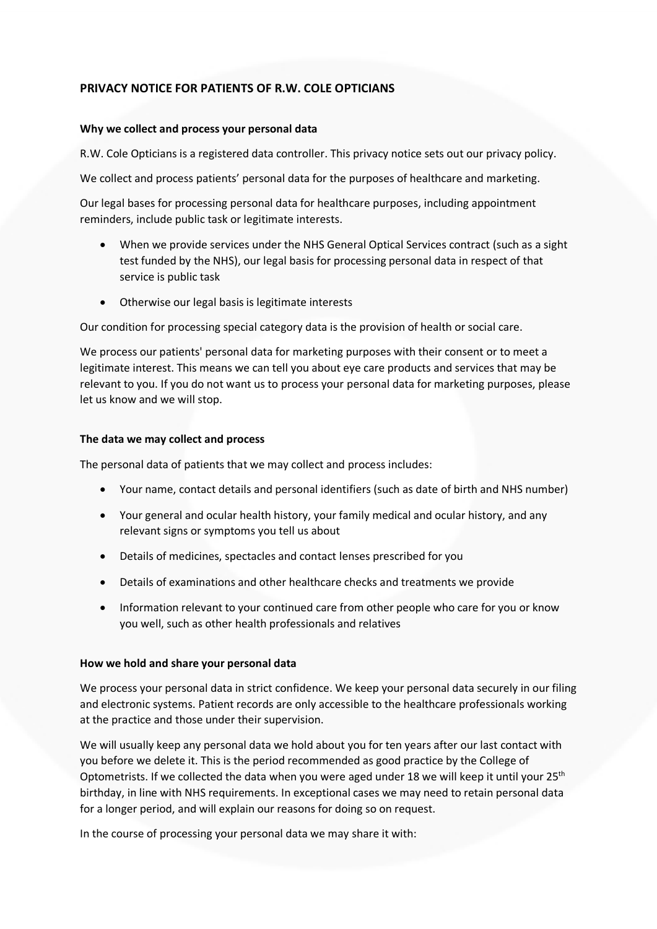# **PRIVACY NOTICE FOR PATIENTS OF R.W. COLE OPTICIANS**

#### **Why we collect and process your personal data**

R.W. Cole Opticians is a registered data controller. This privacy notice sets out our privacy policy.

We collect and process patients' personal data for the purposes of healthcare and marketing.

Our legal bases for processing personal data for healthcare purposes, including appointment reminders, include public task or legitimate interests.

- When we provide services under the NHS General Optical Services contract (such as a sight test funded by the NHS), our legal basis for processing personal data in respect of that service is public task
- Otherwise our legal basis is legitimate interests

Our condition for processing special category data is the provision of health or social care.

We process our patients' personal data for marketing purposes with their consent or to meet a legitimate interest. This means we can tell you about eye care products and services that may be relevant to you. If you do not want us to process your personal data for marketing purposes, please let us know and we will stop.

### **The data we may collect and process**

The personal data of patients that we may collect and process includes:

- Your name, contact details and personal identifiers (such as date of birth and NHS number)
- Your general and ocular health history, your family medical and ocular history, and any relevant signs or symptoms you tell us about
- Details of medicines, spectacles and contact lenses prescribed for you
- Details of examinations and other healthcare checks and treatments we provide
- Information relevant to your continued care from other people who care for you or know you well, such as other health professionals and relatives

#### **How we hold and share your personal data**

We process your personal data in strict confidence. We keep your personal data securely in our filing and electronic systems. Patient records are only accessible to the healthcare professionals working at the practice and those under their supervision.

u. If you do not want us to process your personal data for marketing purposes, please<br>of we will stop,<br>any collect and process<br>and collect and process<br>and collect and process<br>and collect and process<br>are, contact details an We will usually keep any personal data we hold about you for ten years after our last contact with you before we delete it. This is the period recommended as good practice by the College of Optometrists. If we collected the data when you were aged under 18 we will keep it until your 25<sup>th</sup> birthday, in line with NHS requirements. In exceptional cases we may need to retain personal data for a longer period, and will explain our reasons for doing so on request.

In the course of processing your personal data we may share it with: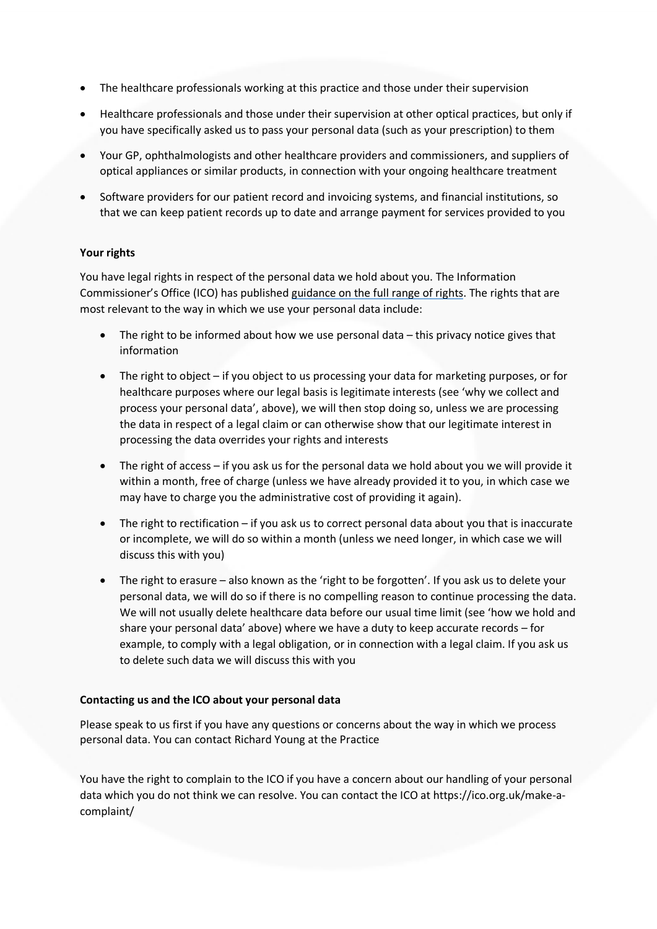- The healthcare professionals working at this practice and those under their supervision
- Healthcare professionals and those under their supervision at other optical practices, but only if you have specifically asked us to pass your personal data (such as your prescription) to them
- Your GP, ophthalmologists and other healthcare providers and commissioners, and suppliers of optical appliances or similar products, in connection with your ongoing healthcare treatment
- Software providers for our patient record and invoicing systems, and financial institutions, so that we can keep patient records up to date and arrange payment for services provided to you

## **Your rights**

You have legal rights in respect of the personal data we hold about you. The Information Commissioner's Office (ICO) has published guidance on the full range of rights. The rights that are most relevant to the way in which we use your personal data include:

- The right to be informed about how we use personal data this privacy notice gives that information
- The right to object if you object to us processing your data for marketing purposes, or for healthcare purposes where our legal basis is legitimate interests (see 'why we collect and process your personal data', above), we will then sto p doing so, unless we are processing the data in respect of a legal claim or can otherwise show that our legitimate interest in processing the data overrides your rights and interests
- The right of access if you ask us for the personal data we hold about you we will provide it within a month, free of charge (unless we have already provided it to you, in which case we may have to charge you the administrative cost of providing it again).
- The right to rectification if you ask us to correct personal data about you that is inaccurate or incomplete, we will do so within a month (unless we need longer, in which case we will discuss this with you)
- gin to ougate = in you voiest can ough useassing your usea of marketing purposes, or increases where our legal basis is leightlimate interests (see "why we collect and the marketing purposes where our legal basis is leight • The right to erasure - also known as the 'right to be forgotten'. If you ask us to delete your personal data, we will do so if there is no compelling reason to continue processing the data. We will not usually delete healthcare data before our usual time limit (see 'how we hold and share your personal data' above) where we have a duty to keep accurate records – for example, to comply with a legal obligation, or in connection with a legal claim. If you ask us to delete such data we will discuss this with you

## **Contacting us and the ICO about your personal data**

Please speak to us first if you have any questions or concerns about the way in which we process personal data. You can contact Richard Young at the Practice

You have the right to complain to the ICO if you have a concern about our handling of your personal data which you do not think we can resolve. You can contact the ICO at https://ico.org.uk/make-acomplaint/